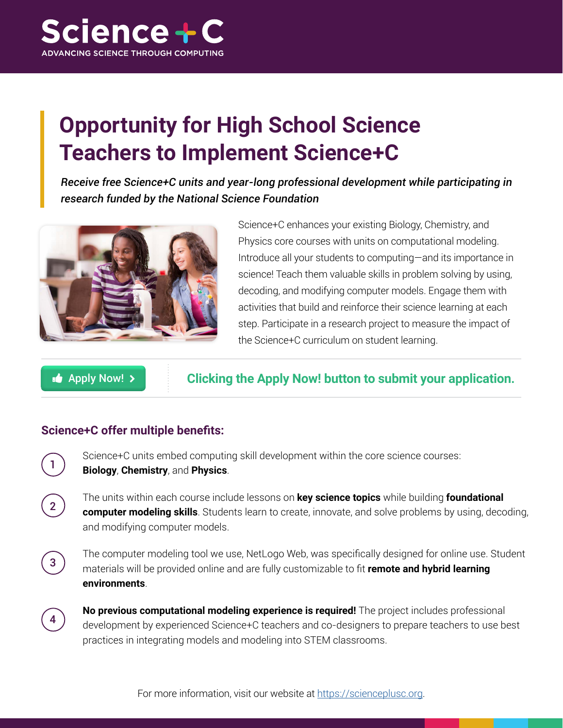

## **Opportunity for High School Science Teachers to Implement Science+C**

*Receive free Science+C units and year-long professional development while participating in research funded by the National Science Foundation*



Science+C enhances your existing Biology, Chemistry, and Physics core courses with units on computational modeling. Introduce all your students to computing—and its importance in science! Teach them valuable skills in problem solving by using, decoding, and modifying computer models. Engage them with activities that build and reinforce their science learning at each step. Participate in a research project to measure the impact of the Science+C curriculum on student learning.

**Apply Now! >** 

**Clicking the Apply Now! button to submit your application.**

## **Science+C offer multiple benefits:**

Science+C units embed computing skill development within the core science courses: **Biology**, **Chemistry**, and **Physics**.

The units within each course include lessons on **key science topics** while building **foundational computer modeling skills**. Students learn to create, innovate, and solve problems by using, decoding, and modifying computer models.

2

<sup>3</sup> The computer modeling tool we use, NetLogo Web, was specifically designed for online use. Student **3** materials will be provided online and are fully customizable to fit **remote and hybrid learning environments**.

**No previous computational modeling experience is required!** The project includes professional development by experienced Science+C teachers and co-designers to prepare teachers to use best practices in integrating models and modeling into STEM classrooms.